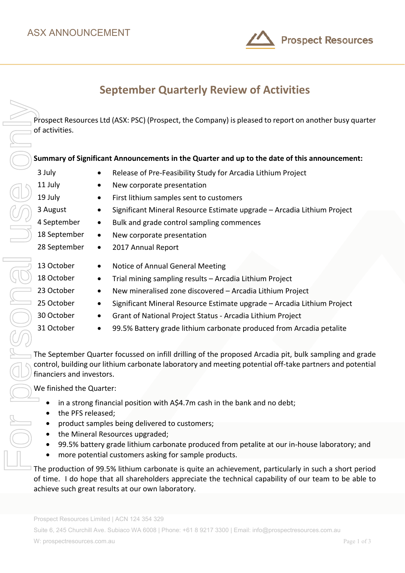

Prospect Resources Ltd (ASX: PSC) (Prospect, the Company) is pleased to report on another busy quarter of activities.

### **Summary of Significant Announcements in the Quarter and up to the date of this announcement:**

3 July • Release of Pre-Feasibility Study for Arcadia Lithium Project

- 11 July New corporate presentation
- 19 July First lithium samples sent to customers
- 3 August Significant Mineral Resource Estimate upgrade Arcadia Lithium Project
- 4 September Bulk and grade control sampling commences
- 18 September New corporate presentation
- 28 September 2017 Annual Report
- 
- 
- 
- 
- 
- 13 October Notice of Annual General Meeting
- 18 October Trial mining sampling results Arcadia Lithium Project
- 23 October New mineralised zone discovered Arcadia Lithium Project
- 25 October Significant Mineral Resource Estimate upgrade Arcadia Lithium Project
- 30 October Grant of National Project Status Arcadia Lithium Project
- 31 October 99.5% Battery grade lithium carbonate produced from Arcadia petalite

The September Quarter focussed on infill drilling of the proposed Arcadia pit, bulk sampling and grade control, building our lithium carbonate laboratory and meeting potential off-take partners and potential financiers and investors.

We finished the Quarter:

- in a strong financial position with A\$4.7m cash in the bank and no debt;
- the PFS released;
- product samples being delivered to customers;
- the Mineral Resources upgraded;
- 99.5% battery grade lithium carbonate produced from petalite at our in-house laboratory; and
- more potential customers asking for sample products.

The production of 99.5% lithium carbonate is quite an achievement, particularly in such a short period of time. I do hope that all shareholders appreciate the technical capability of our team to be able to

Prospect Resources Limited | ACN 124 354 329

Suite 6, 245 Churchill Ave. Subiaco WA 6008 | Phone: +61 8 9217 3300 | Email: info@prospectresources.com.au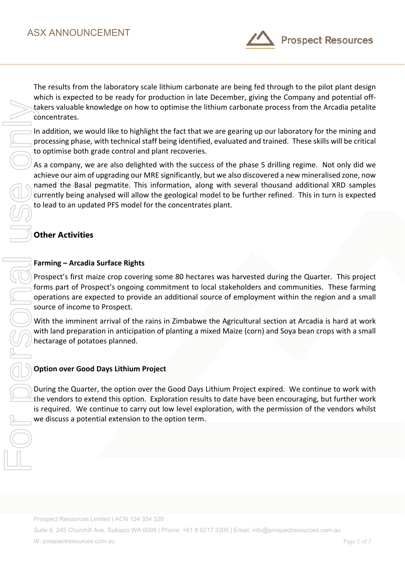

The results from the laboratory scale lithium carbonate are being fed through to the pilot plant design which is expected to be ready for production in late December, giving the Company and potential offtakers valuable knowledge on how to optimise the lithium carbonate process from the Arcadia petalite concentrates.

In addition, we would like to highlight the fact that we are gearing up our laboratory for the mining and processing phase, with technical staff being identified, evaluated and trained. These skills will be critical to optimise both grade control and plant recoveries.

As a company, we are also delighted with the success of the phase 5 drilling regime. Not only did we achieve our aim of upgrading our MRE significantly, but we also discovered a new mineralised zone, now named the Basal pegmatite. This information, along with several thousand additional XRD samples currently being analysed will allow the geological model to be further refined. This in turn is expected to lead to an updated PFS model for the concentrates plant.

# **Other Activities**

## **Farming – Arcadia Surface Rights**

Prospect's first maize crop covering some 80 hectares was harvested during the Quarter. This project forms part of Prospect's ongoing commitment to local stakeholders and communities. These farming operations are expected to provide an additional source of employment within the region and a small source of income to Prospect.

With the imminent arrival of the rains in Zimbabwe the Agricultural section at Arcadia is hard at work with land preparation in anticipation of planting a mixed Maize (corn) and Soya bean crops with a small hectarage of potatoes planned.

# **Option over Good Days Lithium Project**

During the Quarter, the option over the Good Days Lithium Project expired. We continue to work with the vendors to extend this option. Exploration results to date have been encouraging, but further work is required. We continue to carry out low level exploration, with the permission of the vendors whilst we discuss a potential extension to the option term.

Prospect Resources Limited | ACN 124 354 329

Suite 6, 245 Churchill Ave. Subiaco WA 6008 | Phone: +61 8 9217 3300 | Email: info@prospectresources.com.au